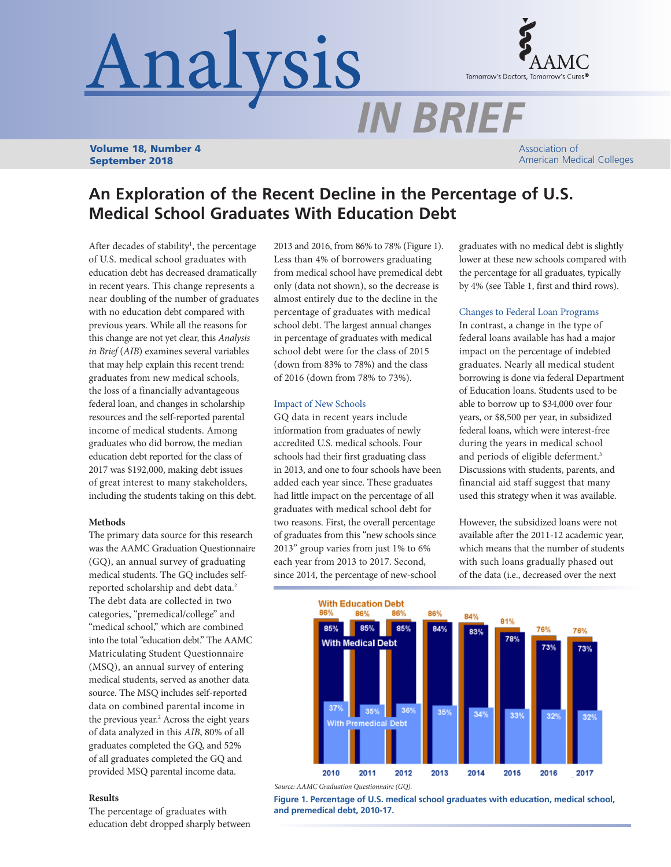# Analysis



Volume 18, Number 4 September 2018

Association of American Medical Colleges

# **An Exploration of the Recent Decline in the Percentage of U.S. Medical School Graduates With Education Debt**

After decades of stability<sup>1</sup>, the percentage of U.S. medical school graduates with education debt has decreased dramatically in recent years. This change represents a near doubling of the number of graduates with no education debt compared with previous years. While all the reasons for this change are not yet clear, this *Analysis in Brief* (*AIB*) examines several variables that may help explain this recent trend: graduates from new medical schools, the loss of a financially advantageous federal loan, and changes in scholarship resources and the self-reported parental income of medical students. Among graduates who did borrow, the median education debt reported for the class of 2017 was \$192,000, making debt issues of great interest to many stakeholders, including the students taking on this debt.

## **Methods**

The primary data source for this research was the AAMC Graduation Questionnaire (GQ), an annual survey of graduating medical students. The GQ includes selfreported scholarship and debt data.<sup>2</sup> The debt data are collected in two categories, "premedical/college" and "medical school," which are combined into the total "education debt." The AAMC Matriculating Student Questionnaire (MSQ), an annual survey of entering medical students, served as another data source. The MSQ includes self-reported data on combined parental income in the previous year.<sup>2</sup> Across the eight years of data analyzed in this *AIB*, 80% of all graduates completed the GQ, and 52% of all graduates completed the GQ and provided MSQ parental income data.

# **Results**

The percentage of graduates with education debt dropped sharply between 2013 and 2016, from 86% to 78% (Figure 1). Less than 4% of borrowers graduating from medical school have premedical debt only (data not shown), so the decrease is almost entirely due to the decline in the percentage of graduates with medical school debt. The largest annual changes in percentage of graduates with medical school debt were for the class of 2015 (down from 83% to 78%) and the class of 2016 (down from 78% to 73%).

# Impact of New Schools

GQ data in recent years include information from graduates of newly accredited U.S. medical schools. Four schools had their first graduating class in 2013, and one to four schools have been added each year since. These graduates had little impact on the percentage of all graduates with medical school debt for two reasons. First, the overall percentage of graduates from this "new schools since 2013" group varies from just 1% to 6% each year from 2013 to 2017. Second, since 2014, the percentage of new-school

graduates with no medical debt is slightly lower at these new schools compared with the percentage for all graduates, typically by 4% (see Table 1, first and third rows).

# Changes to Federal Loan Programs

In contrast, a change in the type of federal loans available has had a major impact on the percentage of indebted graduates. Nearly all medical student borrowing is done via federal Department of Education loans. Students used to be able to borrow up to \$34,000 over four years, or \$8,500 per year, in subsidized federal loans, which were interest-free during the years in medical school and periods of eligible deferment.3 Discussions with students, parents, and financial aid staff suggest that many used this strategy when it was available.

However, the subsidized loans were not available after the 2011-12 academic year, which means that the number of students with such loans gradually phased out of the data (i.e., decreased over the next



*Source: AAMC Graduation Questionnaire (GQ).*

**Figure 1. Percentage of U.S. medical school graduates with education, medical school, and premedical debt, 2010-17.**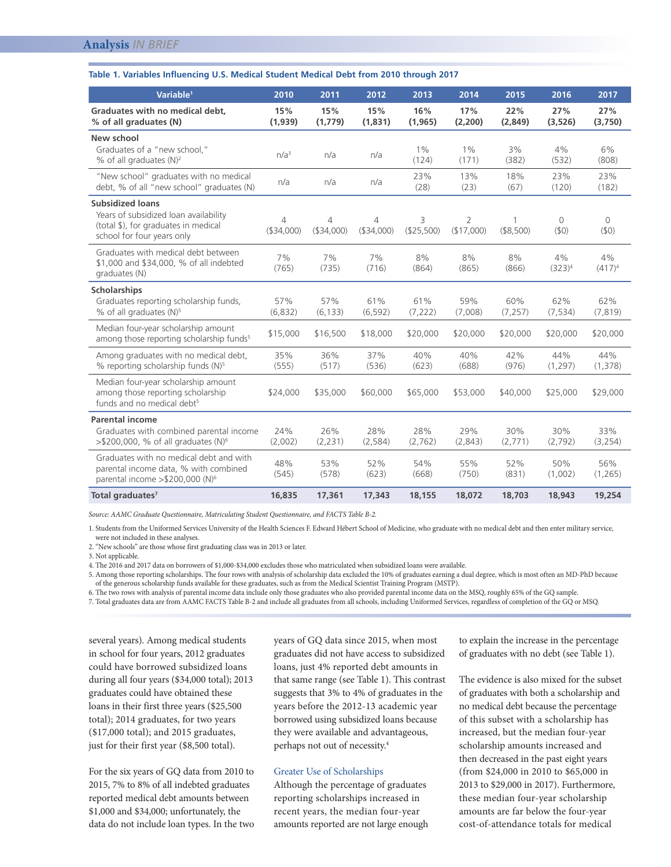#### **Table 1. Variables Influencing U.S. Medical Student Medical Debt from 2010 through 2017**

| Variable <sup>1</sup>                                                                                                                  | 2010             | 2011                          | 2012             | 2013            | 2014                         | 2015                      | 2016             | 2017             |
|----------------------------------------------------------------------------------------------------------------------------------------|------------------|-------------------------------|------------------|-----------------|------------------------------|---------------------------|------------------|------------------|
| Graduates with no medical debt,<br>% of all graduates (N)                                                                              | 15%<br>(1,939)   | 15%<br>(1,779)                | 15%<br>(1,831)   | 16%<br>(1, 965) | 17%<br>(2,200)               | 22%<br>(2,849)            | 27%<br>(3, 526)  | 27%<br>(3,750)   |
| New school<br>Graduates of a "new school,"<br>% of all graduates $(N)^2$                                                               | n/a <sup>3</sup> | n/a                           | n/a              | $1\%$<br>(124)  | $1\%$<br>(171)               | 3%<br>(382)               | 4%<br>(532)      | 6%<br>(808)      |
| "New school" graduates with no medical<br>debt, % of all "new school" graduates (N)                                                    | n/a              | n/a                           | n/a              | 23%<br>(28)     | 13%<br>(23)                  | 18%<br>(67)               | 23%<br>(120)     | 23%<br>(182)     |
| <b>Subsidized loans</b><br>Years of subsidized loan availability<br>(total \$), for graduates in medical<br>school for four years only | 4<br>(\$34,000)  | $\overline{4}$<br>( \$34,000) | 4<br>( \$34,000) | 3<br>(\$25,500) | $\overline{2}$<br>(\$17,000) | $\mathbf{1}$<br>(\$8,500) | $\Omega$<br>(50) | $\Omega$<br>(50) |
| Graduates with medical debt between<br>\$1,000 and \$34,000, % of all indebted<br>graduates (N)                                        | 7%<br>(765)      | 7%<br>(735)                   | 7%<br>(716)      | 8%<br>(864)     | 8%<br>(865)                  | 8%<br>(866)               | 4%<br>$(323)^4$  | 4%<br>$(417)^4$  |
| <b>Scholarships</b>                                                                                                                    |                  |                               |                  |                 |                              |                           |                  |                  |
| Graduates reporting scholarship funds,<br>% of all graduates (N) <sup>5</sup>                                                          | 57%<br>(6,832)   | 57%<br>(6, 133)               | 61%<br>(6, 592)  | 61%<br>(7, 222) | 59%<br>(7,008)               | 60%<br>(7, 257)           | 62%<br>(7, 534)  | 62%<br>(7, 819)  |
| Median four-year scholarship amount<br>among those reporting scholarship funds <sup>5</sup>                                            | \$15,000         | \$16,500                      | \$18,000         | \$20,000        | \$20,000                     | \$20,000                  | \$20,000         | \$20,000         |
| Among graduates with no medical debt,<br>% reporting scholarship funds (N) <sup>5</sup>                                                | 35%<br>(555)     | 36%<br>(517)                  | 37%<br>(536)     | 40%<br>(623)    | 40%<br>(688)                 | 42%<br>(976)              | 44%<br>(1, 297)  | 44%<br>(1,378)   |
| Median four-year scholarship amount<br>among those reporting scholarship<br>funds and no medical debt <sup>5</sup>                     | \$24,000         | \$35,000                      | \$60,000         | \$65,000        | \$53,000                     | \$40,000                  | \$25,000         | \$29,000         |
| <b>Parental income</b>                                                                                                                 |                  |                               |                  |                 |                              |                           |                  |                  |
| Graduates with combined parental income<br>>\$200,000, % of all graduates (N) <sup>6</sup>                                             | 24%<br>(2,002)   | 26%<br>(2, 231)               | 28%<br>(2, 584)  | 28%<br>(2,762)  | 29%<br>(2,843)               | 30%<br>(2,771)            | 30%<br>(2,792)   | 33%<br>(3, 254)  |
| Graduates with no medical debt and with<br>parental income data, % with combined<br>parental income > \$200,000 (N) <sup>6</sup>       | 48%<br>(545)     | 53%<br>(578)                  | 52%<br>(623)     | 54%<br>(668)    | 55%<br>(750)                 | 52%<br>(831)              | 50%<br>(1,002)   | 56%<br>(1, 265)  |
| Total graduates <sup>7</sup>                                                                                                           | 16,835           | 17,361                        | 17,343           | 18,155          | 18,072                       | 18,703                    | 18,943           | 19,254           |

*Source: AAMC Graduate Questionnaire, Matriculating Student Questionnaire, and FACTS Table B-2.*

1. Students from the Uniformed Services University of the Health Sciences F. Edward Hébert School of Medicine, who graduate with no medical debt and then enter military service, were not included in these analyses.

2. "New schools" are those whose first graduating class was in 2013 or later.

3. Not applicable.

4. The 2016 and 2017 data on borrowers of \$1,000-\$34,000 excludes those who matriculated when subsidized loans were available.

5. Among those reporting scholarships. The four rows with analysis of scholarship data excluded the 10% of graduates earning a dual degree, which is most often an MD-PhD because of the generous scholarship funds available for these graduates, such as from the Medical Scientist Training Program (MSTP).

6. The two rows with analysis of parental income data include only those graduates who also provided parental income data on the MSQ, roughly 65% of the GQ sample.

7. Total graduates data are from AAMC FACTS Table B-2 and include all graduates from all schools, including Uniformed Services, regardless of completion of the GQ or MSQ.

several years). Among medical students in school for four years, 2012 graduates could have borrowed subsidized loans during all four years (\$34,000 total); 2013 graduates could have obtained these loans in their first three years (\$25,500 total); 2014 graduates, for two years (\$17,000 total); and 2015 graduates, just for their first year (\$8,500 total).

For the six years of GQ data from 2010 to 2015, 7% to 8% of all indebted graduates reported medical debt amounts between \$1,000 and \$34,000; unfortunately, the data do not include loan types. In the two years of GQ data since 2015, when most graduates did not have access to subsidized loans, just 4% reported debt amounts in that same range (see Table 1). This contrast suggests that 3% to 4% of graduates in the years before the 2012-13 academic year borrowed using subsidized loans because they were available and advantageous, perhaps not out of necessity.4

# Greater Use of Scholarships

Although the percentage of graduates reporting scholarships increased in recent years, the median four-year amounts reported are not large enough

to explain the increase in the percentage of graduates with no debt (see Table 1).

The evidence is also mixed for the subset of graduates with both a scholarship and no medical debt because the percentage of this subset with a scholarship has increased, but the median four-year scholarship amounts increased and then decreased in the past eight years (from \$24,000 in 2010 to \$65,000 in 2013 to \$29,000 in 2017). Furthermore, these median four-year scholarship amounts are far below the four-year cost-of-attendance totals for medical